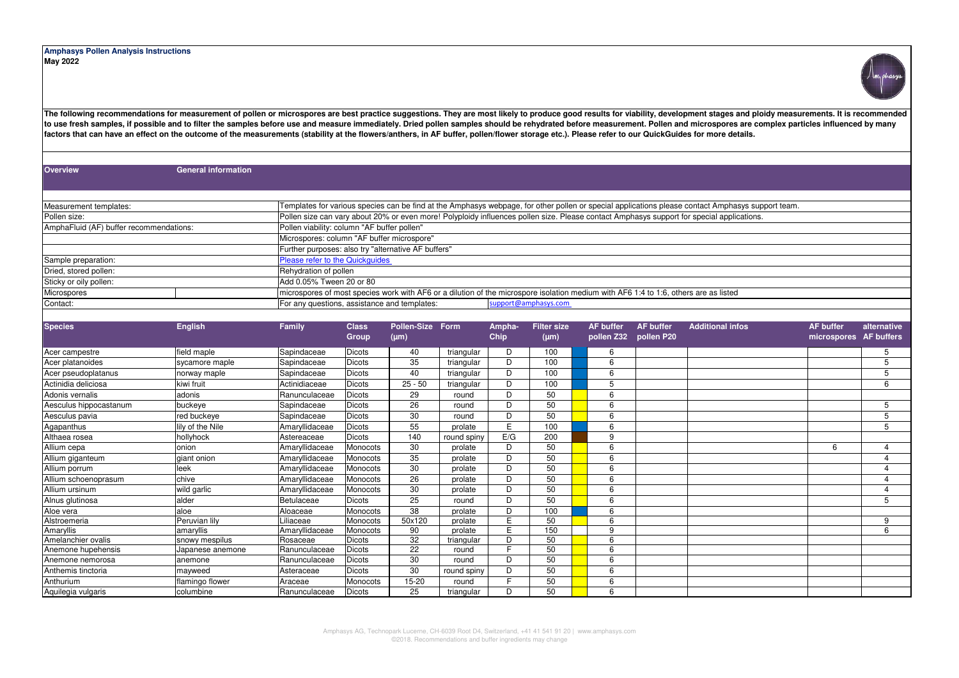## **Amphasys Pollen Analysis Instructions May 2022**



The following recommendations for measurement of pollen or microspores are best practice suggestions. They are most likely to produce good results for viability, development stages and ploidy measurements. It is recommende to use fresh samples, if possible and to filter the samples before use and measure immediately. Dried pollen samples should be rehydrated before measurement. Pollen and microspores are complex particles influenced by many **factors that can have an effect on the outcome of the measurements (stability at the flowers/anthers, in AF buffer, pollen/flower storage etc.). Please refer to our QuickGuides for more details.**

**Overview General information Microspores** Add 0.05% Tween 20 or 80 support@amphasys.com Pollen viability: column "AF buffer pollen" Microspores: column "AF buffer microspore" Further purposes: also try "alternative AF buffers" Please refer to the Quickguides Rehydration of pollen microspores of most species work with AF6 or a dilution of the microspore isolation medium with AF6 1:4 to 1:6, others are as listed For any questions, assistance and templates: Pollen size: AmphaFluid (AF) buffer recommendations: Measurement templates: Templates for various species can be find at the Amphasys webpage, for other pollen or special applications please contact Amphasys support team. Sample preparation: Dried, stored pollen: Sticky or oily pollen: Contact: Pollen size can vary about 20% or even more! Polyploidy influences pollen size. Please contact Amphasys support for special applications.

| <b>Species</b>         | <b>English</b>   | Family         | <b>Class</b><br><b>Group</b> | Pollen-Size<br>$(\mu m)$ | <b>Form</b> | Ampha-<br>Chip | <b>Filter size</b><br>$(\mu m)$ | <b>AF buffer</b><br>pollen Z32 | <b>AF buffer</b><br>pollen P20 | <b>Additional infos</b> | <b>AF buffer</b><br>microspores | alternative<br><b>AF buffers</b> |
|------------------------|------------------|----------------|------------------------------|--------------------------|-------------|----------------|---------------------------------|--------------------------------|--------------------------------|-------------------------|---------------------------------|----------------------------------|
| Acer campestre         | field maple      | Sapindaceae    | <b>Dicots</b>                | 40                       | triangular  | D              | 100                             | 6                              |                                |                         |                                 | 5                                |
| Acer platanoides       | sycamore maple   | Sapindaceae    | <b>Dicots</b>                | 35                       | triangular  | D              | 100                             | 6                              |                                |                         |                                 | 5                                |
| Acer pseudoplatanus    | norway maple     | Sapindaceae    | <b>Dicots</b>                | 40                       | triangular  | D              | 100                             | 6                              |                                |                         |                                 | 5                                |
| Actinidia deliciosa    | kiwi fruit       | Actinidiaceae  | <b>Dicots</b>                | $25 - 50$                | triangular  | D              | 100                             | 5                              |                                |                         |                                 | 6                                |
| Adonis vernalis        | adonis           | Ranunculaceae  | Dicots                       | 29                       | round       | D              | 50                              | 6                              |                                |                         |                                 |                                  |
| Aesculus hippocastanum | buckeye          | Sapindaceae    | <b>Dicots</b>                | 26                       | round       | D              | 50                              | 6                              |                                |                         |                                 | 5                                |
| Aesculus pavia         | red buckeye      | Sapindaceae    | Dicots                       | 30                       | round       | D              | 50                              | 6                              |                                |                         |                                 | 5                                |
| Agapanthus             | lily of the Nile | Amaryllidaceae | <b>Dicots</b>                | 55                       | prolate     | E.             | 100                             | 6                              |                                |                         |                                 | 5                                |
| Althaea rosea          | hollyhock        | Astereaceae    | <b>Dicots</b>                | 140                      | round spiny | E/G            | 200                             | 9                              |                                |                         |                                 |                                  |
| Allium cepa            | onion            | Amaryllidaceae | Monocots                     | 30                       | prolate     | D              | 50                              | 6                              |                                |                         | 6                               | 4                                |
| Allium giganteum       | giant onion      | Amaryllidaceae | Monocots                     | 35                       | prolate     | D              | 50                              | 6                              |                                |                         |                                 |                                  |
| Allium porrum          | leek             | Amaryllidaceae | Monocots                     | 30                       | prolate     | D              | 50                              | 6                              |                                |                         |                                 | 4                                |
| Allium schoenoprasum   | chive            | Amaryllidaceae | Monocots                     | 26                       | prolate     | D              | 50                              | 6                              |                                |                         |                                 | 4                                |
| Allium ursinum         | wild garlic      | Amaryllidaceae | Monocots                     | 30                       | prolate     | D              | 50                              | 6                              |                                |                         |                                 | 4                                |
| Alnus glutinosa        | alder            | Betulaceae     | <b>Dicots</b>                | 25                       | round       | D              | 50                              | 6                              |                                |                         |                                 | 5                                |
| Aloe vera              | aloe             | Aloaceae       | Monocots                     | 38                       | prolate     | D              | 100                             | 6                              |                                |                         |                                 |                                  |
| Alstroemeria           | Peruvian lily    | Liliaceae      | Monocots                     | 50x120                   | prolate     | E              | 50                              | 6                              |                                |                         |                                 | 9                                |
| Amaryllis              | amaryllis        | Amaryllidaceae | Monocots                     | 90                       | prolate     | E              | 150                             | 9                              |                                |                         |                                 | 6                                |
| Amelanchier ovalis     | snowy mespilus   | Rosaceae       | Dicots                       | 32                       | triangular  | D              | 50                              | 6                              |                                |                         |                                 |                                  |
| Anemone hupehensis     | Japanese anemone | Ranunculaceae  | Dicots                       | 22                       | round       | F              | 50                              | 6                              |                                |                         |                                 |                                  |
| Anemone nemorosa       | anemone          | Ranunculaceae  | Dicots                       | 30                       | round       | D              | 50                              | 6                              |                                |                         |                                 |                                  |
| Anthemis tinctoria     | mayweed          | Asteraceae     | Dicots                       | 30                       | round spiny | D              | 50                              | 6                              |                                |                         |                                 |                                  |
| Anthurium              | flamingo flower  | Araceae        | Monocots                     | 15-20                    | round       | F.             | 50                              | 6                              |                                |                         |                                 |                                  |
| Aquilegia vulgaris     | columbine        | Ranunculaceae  | Dicots                       | 25                       | triangular  | D              | 50                              | 6                              |                                |                         |                                 |                                  |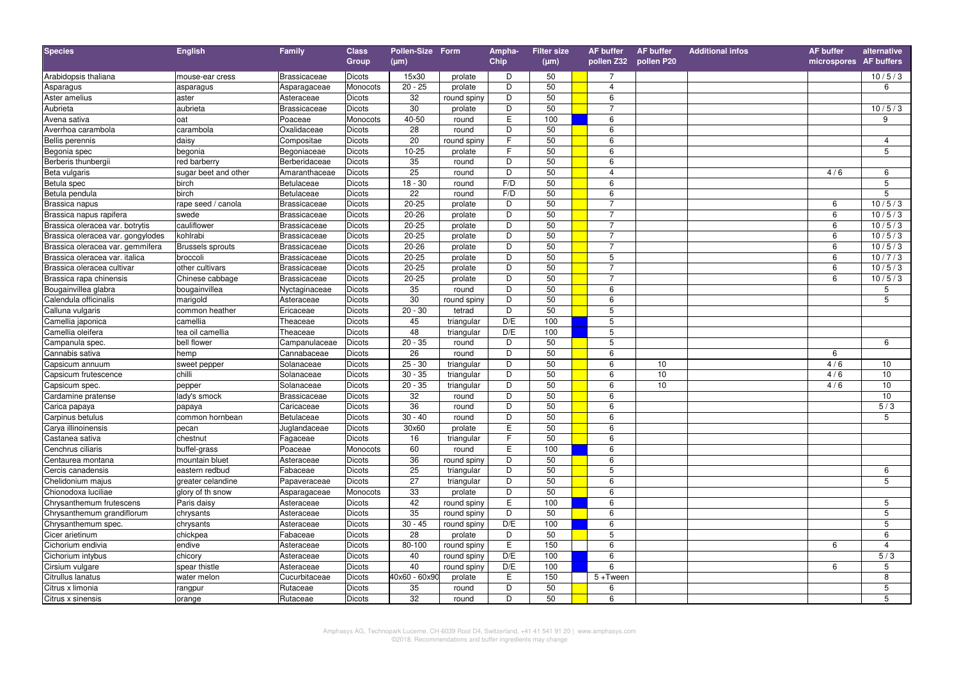| <b>Species</b>                    | <b>English</b>          | <b>Family</b>       | <b>Class</b>  | Pollen-Size Form |             | Ampha-         | <b>Filter size</b> | <b>AF buffer</b>        | <b>AF buffer</b> | <b>Additional infos</b> | <b>AF</b> buffer       | alternative     |
|-----------------------------------|-------------------------|---------------------|---------------|------------------|-------------|----------------|--------------------|-------------------------|------------------|-------------------------|------------------------|-----------------|
|                                   |                         |                     | Group         | $(\mu m)$        |             | Chip           | $(\mu m)$          | pollen Z32 pollen P20   |                  |                         | microspores AF buffers |                 |
| Arabidopsis thaliana              | mouse-ear cress         | <b>Brassicaceae</b> | <b>Dicots</b> | 15x30            | prolate     | D              | 50                 | $\overline{7}$          |                  |                         |                        | 10/5/3          |
| Asparagus                         | asparagus               | Asparagaceae        | Monocots      | $20 - 25$        | prolate     | D              | 50                 | 4                       |                  |                         |                        | 6               |
| Aster amelius                     | aster                   | Asteraceae          | Dicots        | 32               | round spiny | D              | 50                 | 6                       |                  |                         |                        |                 |
| Aubrieta                          | aubrieta                | <b>Brassicaceae</b> | Dicots        | 30               | prolate     | D              | 50                 | $\overline{7}$          |                  |                         |                        | 10/5/3          |
| Avena sativa                      | oat                     | Poaceae             | Monocots      | 40-50            | round       | E              | 100                | 6                       |                  |                         |                        | 9               |
| Averrhoa carambola                | carambola               | Oxalidaceae         | Dicots        | 28               | round       | D              | 50                 | 6                       |                  |                         |                        |                 |
| <b>Bellis perennis</b>            | daisy                   | Compositae          | Dicots        | 20               | round spiny | $\overline{F}$ | 50                 | 6                       |                  |                         |                        | $\overline{4}$  |
| Begonia spec                      | begonia                 | Begoniaceae         | Dicots        | $10 - 25$        | prolate     | F              | 50                 | 6                       |                  |                         |                        | 5               |
| Berberis thunbergii               | red barberry            | Berberidaceae       | <b>Dicots</b> | 35               | round       | D              | 50                 | 6                       |                  |                         |                        |                 |
| Beta vulgaris                     | sugar beet and other    | Amaranthaceae       | Dicots        | 25               | round       | D              | 50                 | $\overline{\mathbf{4}}$ |                  |                         | 4/6                    | 6               |
| Betula spec                       | birch                   | Betulaceae          | Dicots        | $18 - 30$        | round       | F/D            | 50                 | 6                       |                  |                         |                        | 5               |
| Betula pendula                    | birch                   | Betulaceae          | Dicots        | 22               | round       | F/D            | 50                 | 6                       |                  |                         |                        | 5               |
| Brassica napus                    | rape seed / canola      | <b>Brassicaceae</b> | Dicots        | $20 - 25$        | prolate     | D              | 50                 | $\overline{7}$          |                  |                         | 6                      | 10/5/3          |
| Brassica napus rapifera           | swede                   | <b>Brassicaceae</b> | Dicots        | $20 - 26$        | prolate     | D              | 50                 | $\overline{7}$          |                  |                         | 6                      | 10/5/3          |
| Brassica oleracea var. botrytis   | cauliflower             | <b>Brassicaceae</b> | Dicots        | $20 - 25$        | prolate     | D              | 50                 | $\overline{7}$          |                  |                         | 6                      | 10/5/3          |
| Brassica oleracea var. gongylodes | kohlrabi                | <b>Brassicaceae</b> | Dicots        | $20 - 25$        | prolate     | D              | 50                 | $\overline{7}$          |                  |                         | 6                      | 10/5/3          |
| Brassica oleracea var. gemmifera  | <b>Brussels sprouts</b> | <b>Brassicaceae</b> | Dicots        | $20 - 26$        | prolate     | D              | 50                 | $\overline{7}$          |                  |                         | 6                      | 10/5/3          |
| Brassica oleracea var. italica    | broccoli                | <b>Brassicaceae</b> | Dicots        | $20 - 25$        | prolate     | D              | 50                 | 5                       |                  |                         | 6                      | 10/7/3          |
| Brassica oleracea cultivar        | other cultivars         | <b>Brassicaceae</b> | Dicots        | $20 - 25$        | prolate     | D              | 50                 | $\overline{7}$          |                  |                         | $\overline{6}$         | 10/5/3          |
| Brassica rapa chinensis           | Chinese cabbage         | <b>Brassicaceae</b> | Dicots        | $20 - 25$        | prolate     | D              | 50                 | $\overline{7}$          |                  |                         | 6                      | 10/5/3          |
| Bougainvillea glabra              | bougainvillea           | Nyctaginaceae       | Dicots        | 35               | round       | D              | 50                 | 6                       |                  |                         |                        | 5               |
| Calendula officinalis             | marigold                | Asteraceae          | Dicots        | 30               | round spiny | D              | 50                 | 6                       |                  |                         |                        | 5               |
| Calluna vulgaris                  | common heather          | Ericaceae           | Dicots        | $20 - 30$        | tetrad      | D              | 50                 | 5                       |                  |                         |                        |                 |
| Camellia japonica                 | camellia                | Theaceae            | Dicots        | 45               | triangular  | D/E            | 100                | 5                       |                  |                         |                        |                 |
| Camellia oleifera                 | tea oil camellia        | Theaceae            | Dicots        | 48               | triangular  | D/E            | 100                | 5                       |                  |                         |                        |                 |
| Campanula spec.                   | bell flower             | Campanulaceae       | <b>Dicots</b> | $20 - 35$        | round       | D              | 50                 | $\overline{5}$          |                  |                         |                        | 6               |
| Cannabis sativa                   | hemp                    | Cannabaceae         | Dicots        | 26               | round       | D              | 50                 | 6                       |                  |                         | 6                      |                 |
| Capsicum annuum                   | sweet pepper            | Solanaceae          | Dicots        | $25 - 30$        | triangular  | D              | 50                 | 6                       | 10               |                         | 4/6                    | 10              |
| Capsicum frutescence              | chilli                  | Solanaceae          | Dicots        | $30 - 35$        | triangular  | D              | 50                 | 6                       | 10               |                         | 4/6                    | 10              |
| Capsicum spec.                    | pepper                  | Solanaceae          | Dicots        | $20 - 35$        | triangular  | D              | 50                 | 6                       | 10               |                         | 4/6                    | 10              |
| Cardamine pratense                | lady's smock            | <b>Brassicaceae</b> | Dicots        | 32               | round       | D              | 50                 | 6                       |                  |                         |                        | 10              |
| Carica papaya                     | papaya                  | Caricaceae          | Dicots        | 36               | round       | $\overline{D}$ | 50                 | 6                       |                  |                         |                        | 5/3             |
| Carpinus betulus                  | common hornbean         | <b>Betulaceae</b>   | Dicots        | $30 - 40$        | round       | D              | 50                 | 6                       |                  |                         |                        | 5               |
| Carya illinoinensis               | pecan                   | Juglandaceae        | Dicots        | 30×60            | prolate     | E              | 50                 | 6                       |                  |                         |                        |                 |
| Castanea sativa                   | chestnut                | Fagaceae            | Dicots        | 16               | triangular  | F              | 50                 | 6                       |                  |                         |                        |                 |
| Cenchrus ciliaris                 | buffel-grass            | Poaceae             | Monocots      | 60               | round       | E              | 100                | 6                       |                  |                         |                        |                 |
| Centaurea montana                 | mountain bluet          | Asteraceae          | Dicots        | 36               | round spiny | D              | 50                 | 6                       |                  |                         |                        |                 |
| Cercis canadensis                 | eastern redbud          | Fabaceae            | Dicots        | 25               | triangular  | D              | 50                 | 5                       |                  |                         |                        | 6               |
| Chelidonium majus                 | greater celandine       | Papaveraceae        | Dicots        | 27               | triangular  | D              | 50                 | 6                       |                  |                         |                        | 5               |
| Chionodoxa luciliae               | glory of th snow        | Asparagaceae        | Monocots      | 33               | prolate     | D              | 50                 | 6                       |                  |                         |                        |                 |
| Chrysanthemum frutescens          | Paris daisy             | Asteraceae          | Dicots        | 42               | round spiny | E              | 100                | 6                       |                  |                         |                        | 5               |
| Chrysanthemum grandiflorum        | chrysants               | Asteraceae          | Dicots        | 35               | round spiny | D              | 50                 | 6                       |                  |                         |                        | $\overline{5}$  |
| Chrysanthemum spec.               | chrysants               | Asteraceae          | Dicots        | $30 - 45$        | round spiny | D/E            | 100                | 6                       |                  |                         |                        | 5               |
| Cicer arietinum                   | chickpea                | Fabaceae            | Dicots        | 28               | prolate     | D              | 50                 | 5                       |                  |                         |                        | $6\phantom{1}6$ |
| Cichorium endivia                 | endive                  | Asteraceae          | Dicots        | 80-100           | round spiny | E              | 150                | 6                       |                  |                         | 6                      | $\overline{4}$  |
| Cichorium intybus                 | chicory                 | Asteraceae          | Dicots        | 40               | round spiny | D/E            | 100                | 6                       |                  |                         |                        | 5/3             |
| Cirsium vulgare                   | spear thistle           | Asteraceae          | Dicots        | 40               | round spiny | D/E            | 100                | 6                       |                  |                         | 6                      | 5               |
| Citrullus lanatus                 | water melon             | Cucurbitaceae       | Dicots        | 40x60 - 60x90    | prolate     | $\mathsf E$    | 150                | $5 +$ Tween             |                  |                         |                        | 8               |
| Citrus x limonia                  | rangpur                 | Rutaceae            | Dicots        | 35               | round       | $\overline{D}$ | 50                 | 6                       |                  |                         |                        | 5               |
| Citrus x sinensis                 | orange                  | Rutaceae            | Dicots        | 32               | round       | D              | 50                 | 6                       |                  |                         |                        | 5               |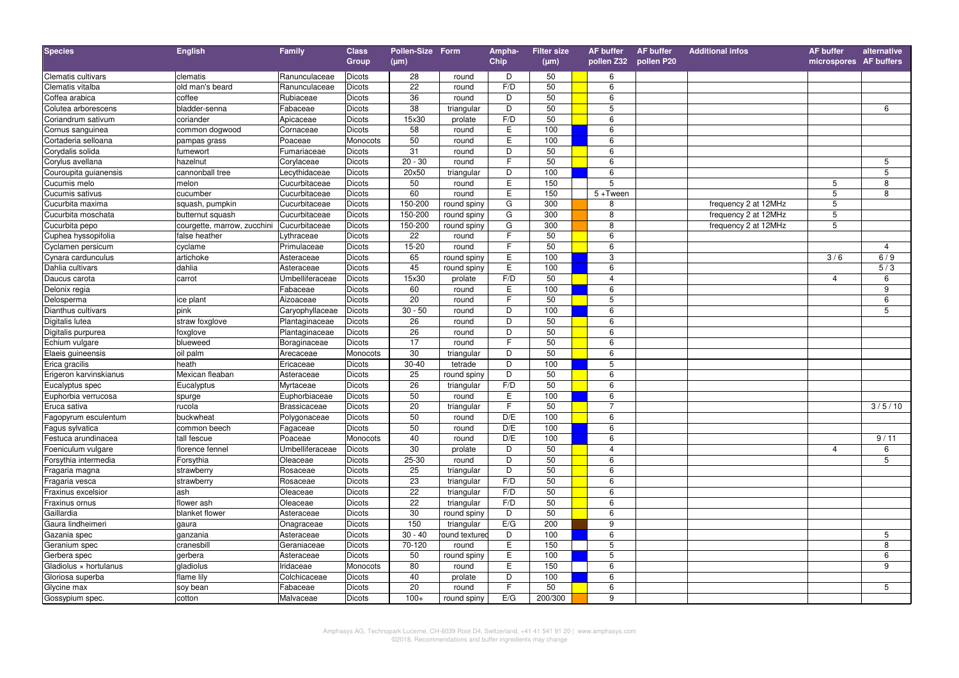| <b>Species</b>         | <b>English</b>              | <b>Family</b>       | <b>Class</b><br>Group | Pollen-Size Form<br>$(\mu m)$ |                | Ampha-<br>Chip | <b>Filter size</b><br>$(\mu m)$ | <b>AF buffer</b><br>pollen Z32 pollen P20 | AF buffer | <b>Additional infos</b> | <b>AF buffer</b><br>microspores AF buffers | alternative    |
|------------------------|-----------------------------|---------------------|-----------------------|-------------------------------|----------------|----------------|---------------------------------|-------------------------------------------|-----------|-------------------------|--------------------------------------------|----------------|
| Clematis cultivars     | clematis                    | Ranunculaceae       | Dicots                | 28                            | round          | D              | 50                              | 6                                         |           |                         |                                            |                |
| Clematis vitalba       | old man's beard             | Ranunculaceae       | Dicots                | $\overline{22}$               | round          | F/D            | 50                              | 6                                         |           |                         |                                            |                |
| Coffea arabica         | coffee                      | Rubiaceae           | Dicots                | 36                            | round          | D              | 50                              | 6                                         |           |                         |                                            |                |
| Colutea arborescens    | bladder-senna               | Fabaceae            | Dicots                | 38                            | triangular     | D              | 50                              | 5                                         |           |                         |                                            | 6              |
| Coriandrum sativum     | coriander                   | Apicaceae           | Dicots                | 15x30                         | prolate        | F/D            | 50                              | 6                                         |           |                         |                                            |                |
| Cornus sanguinea       | common dogwood              | Cornaceae           | Dicots                | 58                            | round          | $\mathsf E$    | 100                             | 6                                         |           |                         |                                            |                |
| Cortaderia selloana    | pampas grass                | Poaceae             | Monocots              | 50                            | round          | E              | 100                             | 6                                         |           |                         |                                            |                |
| Corydalis solida       | fumewort                    | Fumariaceae         | Dicots                | 31                            | round          | D              | 50                              | 6                                         |           |                         |                                            |                |
| Corylus avellana       | hazelnut                    | Corylaceae          | Dicots                | $20 - 30$                     | round          | $\overline{F}$ | 50                              | 6                                         |           |                         |                                            | 5              |
| Couroupita guianensis  | cannonball tree             | Lecythidaceae       | Dicots                | 20×50                         | triangular     | D              | 100                             | 6                                         |           |                         |                                            | 5              |
| Cucumis melo           | melon                       | Cucurbitaceae       | Dicots                | 50                            | round          | E              | 150                             | 5                                         |           |                         | 5                                          | 8              |
| Cucumis sativus        | cucumber                    | Cucurbitaceae       | Dicots                | 60                            | round          | $\overline{E}$ | 150                             | $5 +$ Tween                               |           |                         | 5                                          | 8              |
| Cucurbita maxima       | squash, pumpkin             | Cucurbitaceae       | Dicots                | 150-200                       | round spiny    | G              | 300                             | 8                                         |           | frequency 2 at 12MHz    | 5                                          |                |
| Cucurbita moschata     | butternut squash            | Cucurbitaceae       | Dicots                | 150-200                       | round spiny    | G              | 300                             | 8                                         |           | frequency 2 at 12MHz    | 5                                          |                |
| Cucurbita pepo         | courgette, marrow, zucchini | Cucurbitaceae       | Dicots                | 150-200                       | round spiny    | G              | 300                             | 8                                         |           | frequency 2 at 12MHz    | $5\phantom{.0}$                            |                |
| Cuphea hyssopifolia    | false heather               | Lythraceae          | Dicots                | 22                            | round          | F              | 50                              | 6                                         |           |                         |                                            |                |
| Cyclamen persicum      | cyclame                     | Primulaceae         | Dicots                | $15 - 20$                     | round          | F              | 50                              | 6                                         |           |                         |                                            | $\overline{4}$ |
| Cynara cardunculus     | artichoke                   | Asteraceae          | Dicots                | 65                            | round spiny    | E              | 100                             | 3                                         |           |                         | 3/6                                        | 6/9            |
| Dahlia cultivars       | dahlia                      | Asteraceae          | Dicots                | 45                            | round spiny    | E              | 100                             | 6                                         |           |                         |                                            | 5/3            |
| Daucus carota          | carrot                      | Umbelliferaceae     | Dicots                | 15x30                         | prolate        | F/D            | 50                              | 4                                         |           |                         | $\overline{4}$                             | 6              |
| Delonix regia          |                             | Fabaceae            | Dicots                | 60                            | round          | $\mathsf E$    | 100                             | 6                                         |           |                         |                                            | 9              |
| Delosperma             | ice plant                   | Aizoaceae           | Dicots                | $\overline{20}$               | round          | F              | 50                              | 5                                         |           |                         |                                            | 6              |
| Dianthus cultivars     | pink                        | Caryophyllaceae     | Dicots                | $30 - 50$                     | round          | D              | 100                             | 6                                         |           |                         |                                            | 5              |
| Digitalis lutea        | straw foxglove              | Plantaginaceae      | Dicots                | 26                            | round          | D              | 50                              | 6                                         |           |                         |                                            |                |
| Digitalis purpurea     | foxglove                    | Plantaginaceae      | <b>Dicots</b>         | 26                            | round          | D              | 50                              | 6                                         |           |                         |                                            |                |
| Echium vulgare         | blueweed                    | Boraginaceae        | Dicots                | 17                            | round          | F              | 50                              | 6                                         |           |                         |                                            |                |
| Elaeis guineensis      | oil palm                    | Arecaceae           | Monocots              | 30                            | triangular     | D              | 50                              | 6                                         |           |                         |                                            |                |
| Erica gracilis         | heath                       | Ericaceae           | Dicots                | $30 - 40$                     | tetrade        | $\overline{D}$ | 100                             | 5                                         |           |                         |                                            |                |
| Erigeron karvinskianus | Mexican fleaban             | Asteraceae          | Dicots                | 25                            | round spiny    | $\overline{D}$ | 50                              | $6\overline{6}$                           |           |                         |                                            |                |
| Eucalyptus spec        | Eucalyptus                  | Myrtaceae           | Dicots                | 26                            | triangular     | F/D            | 50                              | $6\overline{6}$                           |           |                         |                                            |                |
| Euphorbia verrucosa    | spurge                      | Euphorbiaceae       | Dicots                | 50                            | round          | E              | 100                             | 6                                         |           |                         |                                            |                |
| Eruca sativa           | rucola                      | <b>Brassicaceae</b> | <b>Dicots</b>         | 20                            | triangular     | $\mathsf F$    | 50                              | 7                                         |           |                         |                                            | 3/5/10         |
| Fagopyrum esculentum   | buckwheat                   | Polygonaceae        | Dicots                | 50                            | round          | D/E            | 100                             | 6                                         |           |                         |                                            |                |
| Fagus sylvatica        | common beech                | Fagaceae            | Dicots                | 50                            | round          | D/E            | 100                             | 6                                         |           |                         |                                            |                |
| Festuca arundinacea    | tall fescue                 | Poaceae             | Monocots              | 40                            | round          | D/E            | 100                             | 6                                         |           |                         |                                            | 9/11           |
| Foeniculum vulgare     | florence fennel             | Umbelliferaceae     | Dicots                | 30                            | prolate        | D              | 50                              | 4                                         |           |                         | $\overline{4}$                             | 6              |
| Forsythia intermedia   | Forsythia                   | Oleaceae            | Dicots                | $25 - 30$                     | round          | D              | 50                              | 6                                         |           |                         |                                            | 5              |
| Fragaria magna         | strawberry                  | Rosaceae            | Dicots                | 25                            | triangular     | D              | 50                              | 6                                         |           |                         |                                            |                |
| Fragaria vesca         | strawberry                  | Rosaceae            | Dicots                | 23                            | triangular     | F/D            | 50                              | 6                                         |           |                         |                                            |                |
| Fraxinus excelsior     | ash                         | Oleaceae            | Dicots                | $\overline{22}$               | triangular     | F/D            | 50                              | 6                                         |           |                         |                                            |                |
| Fraxinus ornus         | flower ash                  | Oleaceae            | Dicots                | 22                            | triangular     | F/D            | 50                              | 6                                         |           |                         |                                            |                |
| Gaillardia             | blanket flower              | Asteraceae          | Dicots                | 30                            | round spiny    | D              | 50                              | 6                                         |           |                         |                                            |                |
| Gaura lindheimeri      | gaura                       | Onagraceae          | Dicots                | 150                           | triangular     | E/G            | 200                             | 9                                         |           |                         |                                            |                |
| Gazania spec           | ganzania                    | Asteraceae          | Dicots                | $30 - 40$                     | round textured | D              | 100                             | 6                                         |           |                         |                                            | 5              |
| Geranium spec          | cranesbill                  | Geraniaceae         | Dicots                | $70 - 120$                    | round          | E              | 150                             | 5                                         |           |                         |                                            | 8              |
| Gerbera spec           | gerbera                     | Asteraceae          | Dicots                | 50                            | round spiny    | E              | 100                             | 5                                         |           |                         |                                            | 6              |
| Gladiolus × hortulanus | gladiolus                   | Iridaceae           | Monocots              | 80                            | round          | E              | 150                             | 6                                         |           |                         |                                            | 9              |
| Gloriosa superba       | flame lily                  | Colchicaceae        | Dicots                | 40                            | prolate        | D              | 100                             | 6                                         |           |                         |                                            |                |
| Glycine max            | soy bean                    | Fabaceae            | Dicots                | 20                            | round          | $\overline{F}$ | 50                              | 6                                         |           |                         |                                            | 5              |
| Gossypium spec         | cotton                      | Malvaceae           | Dicots                | $100+$                        | round spiny    | E/G            | 200/300                         | 9                                         |           |                         |                                            |                |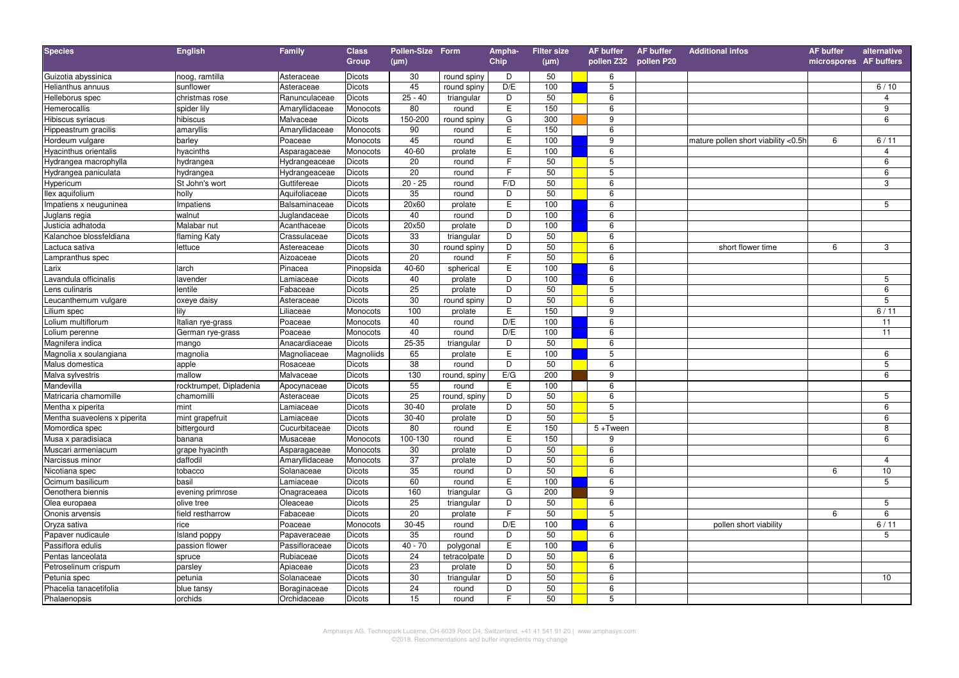| <b>Species</b>               | <b>English</b>          | Family         | <b>Class</b>  | Pollen-Size Form |              | Ampha-         | <b>Filter size</b> | <b>AF buffer</b>      | AF buffer | <b>Additional infos</b>             | <b>AF</b> buffer       | alternative    |
|------------------------------|-------------------------|----------------|---------------|------------------|--------------|----------------|--------------------|-----------------------|-----------|-------------------------------------|------------------------|----------------|
|                              |                         |                | Group         | $(\mu m)$        |              | Chip           | $(\mu m)$          | pollen Z32 pollen P20 |           |                                     | microspores AF buffers |                |
| Guizotia abyssinica          | noog, ramtilla          | Asteraceae     | <b>Dicots</b> | 30               | round spiny  | D              | 50                 | 6                     |           |                                     |                        |                |
| Helianthus annuus            | sunflower               | Asteraceae     | Dicots        | 45               | round spiny  | D/E            | 100                | 5                     |           |                                     |                        | 6/10           |
| Helleborus spec              | christmas rose          | Ranunculaceae  | Dicots        | $25 - 40$        | triangular   | D              | 50                 | 6                     |           |                                     |                        | $\overline{4}$ |
| Hemerocallis                 | spider lily             | Amaryllidaceae | Monocots      | 80               | round        | E              | 150                | 6                     |           |                                     |                        | 9              |
| Hibiscus syriacus            | hibiscus                | Malvaceae      | Dicots        | 150-200          | round spiny  | G              | 300                | 9                     |           |                                     |                        | 6              |
| Hippeastrum gracilis         | amaryllis               | Amaryllidaceae | Monocots      | 90               | round        | $\overline{E}$ | 150                | 6                     |           |                                     |                        |                |
| Hordeum vulgare              | barley                  | Poaceae        | Monocots      | 45               | round        | $\overline{E}$ | 100                | 9                     |           | mature pollen short viability <0.5h | 6                      | 6/11           |
| <b>Hyacinthus orientalis</b> | hyacinths               | Asparagaceae   | Monocots      | 40-60            | prolate      | E              | 100                | 6                     |           |                                     |                        | $\overline{4}$ |
| Hydrangea macrophylla        | hydrangea               | Hydrangeaceae  | Dicots        | 20               | round        | $\overline{F}$ | 50                 | 5                     |           |                                     |                        | 6              |
| Hydrangea paniculata         | hydrangea               | Hydrangeaceae  | Dicots        | 20               | round        | F              | 50                 | 5                     |           |                                     |                        | $\,6\,$        |
| Hypericum                    | St John's wort          | Guttifereae    | Dicots        | $20 - 25$        | round        | F/D            | 50                 | 6                     |           |                                     |                        | 3              |
| llex aquifolium              | holly                   | Aquifoliaceae  | Dicots        | 35               | round        | D              | 50                 | 6                     |           |                                     |                        |                |
| Impatiens x neuguninea       | Impatiens               | Balsaminaceae  | Dicots        | 20×60            | prolate      | E              | 100                | 6                     |           |                                     |                        | 5              |
| Juglans regia                | walnut                  | Juglandaceae   | Dicots        | 40               | round        | D              | 100                | 6                     |           |                                     |                        |                |
| Justicia adhatoda            | Malabar nut             | Acanthaceae    | Dicots        | 20×50            | prolate      | D              | 100                | 6                     |           |                                     |                        |                |
| Kalanchoe blossfeldiana      | flaming Katy            | Crassulaceae   | Dicots        | 33               | triangular   | D              | 50                 | 6                     |           |                                     |                        |                |
| Lactuca sativa               | lettuce                 | Astereaceae    | Dicots        | 30               | round spiny  | D              | 50                 | 6                     |           | short flower time                   | 6                      | 3              |
| ampranthus spec              |                         | Aizoaceae      | <b>Dicots</b> | 20               | round        | F              | 50                 | 6                     |           |                                     |                        |                |
| .arix                        | larch                   | Pinacea        | Pinopsida     | 40-60            | spherical    | E              | 100                | 6                     |           |                                     |                        |                |
| avandula officinalis         | lavender                | Lamiaceae      | Dicots        | 40               | prolate      | D              | 100                | 6                     |           |                                     |                        | 5              |
| ens culinaris                | lentile                 | Fabaceae       | Dicots        | 25               | prolate      | D              | 50                 | 5                     |           |                                     |                        | 6              |
| eucanthemum vulgare          | oxeye daisy             | Asteraceae     | Dicots        | 30               | round spiny  | D              | 50                 | 6                     |           |                                     |                        | 5              |
| ilium spec                   | lily                    | Liliaceae      | Monocots      | 100              | prolate      | E              | 150                | 9                     |           |                                     |                        | 6/11           |
| olium multiflorum            | Italian rye-grass       | Poaceae        | Monocots      | 40               | round        | D/E            | 100                | 6                     |           |                                     |                        | 11             |
| olium perenne                | German rye-grass        | Poaceae        | Monocots      | 40               | round        | D/E            | 100                | 6                     |           |                                     |                        | 11             |
| Magnifera indica             | mango                   | Anacardiaceae  | Dicots        | $25 - 35$        | triangular   | $\overline{D}$ | 50                 | $\overline{6}$        |           |                                     |                        |                |
| Magnolia x soulangiana       | magnolia                | Magnoliaceae   | Magnoliids    | 65               | prolate      | E              | 100                | 5                     |           |                                     |                        | 6              |
| Malus domestica              | apple                   | Rosaceae       | Dicots        | $\overline{38}$  | round        | D              | 50                 | 6                     |           |                                     |                        | 5              |
| Malva sylvestris             | mallow                  | Malvaceae      | Dicots        | 130              | round, spiny | E/G            | 200                | 9                     |           |                                     |                        | $\overline{6}$ |
| Mandevilla                   | rocktrumpet, Dipladenia | Apocynaceae    | Dicots        | 55               | round        | E              | 100                | 6                     |           |                                     |                        |                |
| Matricaria chamomille        | chamomilli              | Asteraceae     | Dicots        | 25               | round, spiny | D              | 50                 | 6                     |           |                                     |                        | 5              |
| Mentha x piperita            | mint                    | Lamiaceae      | Dicots        | $30 - 40$        | prolate      | D              | 50                 | $5\overline{)}$       |           |                                     |                        | 6              |
| Mentha suaveolens x piperita | mint grapefruit         | Lamiaceae      | Dicots        | $30 - 40$        | prolate      | D              | 50                 | 5                     |           |                                     |                        | $6\phantom{a}$ |
| Momordica spec               | bittergourd             | Cucurbitaceae  | Dicots        | 80               | round        | Е              | 150                | $5 +$ Tween           |           |                                     |                        | 8              |
| Musa x paradisiaca           | banana                  | Musaceae       | Monocots      | 100-130          | round        | E              | 150                | 9                     |           |                                     |                        | 6              |
| Muscari armeniacum           | grape hyacinth          | Asparagaceae   | Monocots      | 30               | prolate      | D              | 50                 | 6                     |           |                                     |                        |                |
| Narcissus minor              | daffodil                | Amaryllidaceae | Monocots      | 37               | prolate      | D              | 50                 | 6                     |           |                                     |                        | $\overline{4}$ |
| Nicotiana spec               | tobacco                 | Solanaceae     | Dicots        | 35               | round        | D              | 50                 | 6                     |           |                                     | 6                      | 10             |
| Ocimum basilicum             | basil                   | Lamiaceae      | Dicots        | 60               | round        | $\overline{E}$ | 100                | 6                     |           |                                     |                        | 5              |
| Oenothera biennis            | evening primrose        | Onagraceaea    | Dicots        | 160              | triangular   | G              | 200                | 9                     |           |                                     |                        |                |
| Olea europaea                | olive tree              | Oleaceae       | Dicots        | 25               | triangular   | D              | 50                 | 6                     |           |                                     |                        | 5              |
| Ononis arvensis              | field restharrow        | Fabaceae       | Dicots        | 20               | prolate      | $\overline{F}$ | 50                 | 5                     |           |                                     | 6                      | 6              |
| Oryza sativa                 | rice                    | Poaceae        | Monocots      | $30 - 45$        | round        | D/E            | 100                | 6                     |           | pollen short viability              |                        | 6/11           |
| Papaver nudicaule            | Island poppy            | Papaveraceae   | Dicots        | 35               | round        | D              | 50                 | 6                     |           |                                     |                        | 5              |
| Passiflora edulis            | passion flower          | Passifloraceae | Dicots        | $40 - 70$        | polygonal    | $\overline{E}$ | 100                | 6                     |           |                                     |                        |                |
| Pentas lanceolata            | spruce                  | Rubiaceae      | Dicots        | 24               | tetracolpate | D              | 50                 | 6                     |           |                                     |                        |                |
| Petroselinum crispum         | parsley                 | Apiaceae       | Dicots        | 23               | prolate      | D              | 50                 | 6                     |           |                                     |                        |                |
| Petunia spec                 | petunia                 | Solanaceae     | Dicots        | 30               | triangular   | D              | 50                 | 6                     |           |                                     |                        | 10             |
| Phacelia tanacetifolia       | blue tansy              | Boraginaceae   | Dicots        | 24               | round        | $\overline{D}$ | 50                 | 6                     |           |                                     |                        |                |
| Phalaenopsis                 | orchids                 | Orchidaceae    | Dicots        | 15               | round        | E              | 50                 | 5                     |           |                                     |                        |                |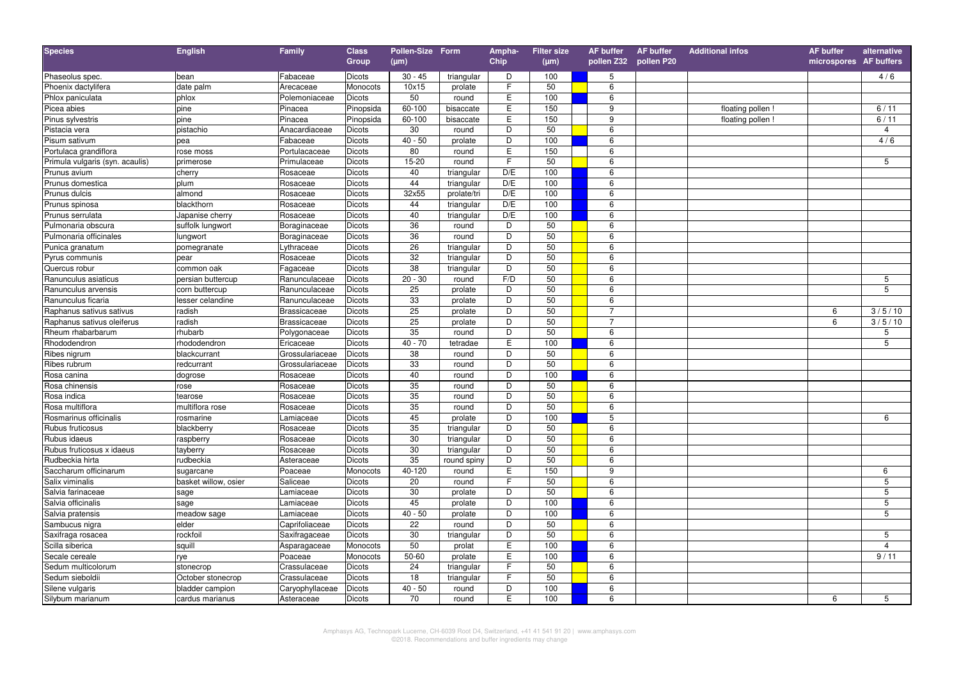| <b>Species</b>                  | <b>English</b>       | <b>Family</b>       | <b>Class</b>  | Pollen-Size Form |             | Ampha-         | <b>Filter size</b> | <b>AF buffer</b>      | <b>AF buffer</b> | <b>Additional infos</b> | <b>AF</b> buffer       | alternative    |
|---------------------------------|----------------------|---------------------|---------------|------------------|-------------|----------------|--------------------|-----------------------|------------------|-------------------------|------------------------|----------------|
|                                 |                      |                     | Group         | $(\mu m)$        |             | Chip           | $(\mu m)$          | pollen Z32 pollen P20 |                  |                         | microspores AF buffers |                |
| Phaseolus spec.                 | bean                 | Fabaceae            | <b>Dicots</b> | $30 - 45$        | triangular  | D              | 100                | 5                     |                  |                         |                        | 4/6            |
| Phoenix dactylifera             | date palm            | Arecaceae           | Monocots      | 10x15            | prolate     | F              | 50                 | 6                     |                  |                         |                        |                |
| Phlox paniculata                | phlox                | Polemoniaceae       | <b>Dicots</b> | 50               | round       | $\mathsf E$    | 100                | 6                     |                  |                         |                        |                |
| Picea abies                     | pine                 | Pinacea             | Pinopsida     | 60-100           | bisaccate   | E              | 150                | 9                     |                  | floating pollen         |                        | 6/11           |
| Pinus sylvestris                | pine                 | Pinacea             | Pinopsida     | $60 - 100$       | bisaccate   | E              | 150                | 9                     |                  | floating pollen !       |                        | 6/11           |
| Pistacia vera                   | pistachio            | Anacardiaceae       | Dicots        | 30               | round       | $\overline{D}$ | 50                 | 6                     |                  |                         |                        | $\overline{4}$ |
| Pisum sativum                   | pea                  | Fabaceae            | Dicots        | $40 - 50$        | prolate     | $\overline{D}$ | 100                | 6                     |                  |                         |                        | 4/6            |
| Portulaca grandiflora           | rose moss            | Portulacaceae       | <b>Dicots</b> | 80               | round       | E              | 150                | 6                     |                  |                         |                        |                |
| Primula vulgaris (syn. acaulis) | primerose            | Primulaceae         | Dicots        | 15-20            | round       | $\overline{F}$ | 50                 | 6                     |                  |                         |                        | 5              |
| Prunus avium                    | cherry               | Rosaceae            | Dicots        | 40               | triangular  | D/E            | 100                | 6                     |                  |                         |                        |                |
| Prunus domestica                | plum                 | Rosaceae            | <b>Dicots</b> | 44               | triangular  | D/E            | 100                | 6                     |                  |                         |                        |                |
| Prunus dulcis                   | almond               | Rosaceae            | <b>Dicots</b> | 32x55            | prolate/tri | D/E            | 100                | 6                     |                  |                         |                        |                |
| Prunus spinosa                  | blackthorn           | Rosaceae            | Dicots        | 44               | triangular  | D/E            | 100                | 6                     |                  |                         |                        |                |
| Prunus serrulata                | Japanise cherry      | Rosaceae            | Dicots        | 40               | triangular  | D/E            | 100                | 6                     |                  |                         |                        |                |
| Pulmonaria obscura              | suffolk lungwort     | Boraginaceae        | Dicots        | 36               | round       | D              | 50                 | 6                     |                  |                         |                        |                |
| Pulmonaria officinales          | lungwort             | Boraginaceae        | Dicots        | 36               | round       | $\overline{D}$ | 50                 | 6                     |                  |                         |                        |                |
| Punica granatum                 | pomegranate          | ythraceae           | Dicots        | 26               | triangular  | D              | 50                 | 6                     |                  |                         |                        |                |
| Pyrus communis                  | pear                 | Rosaceae            | <b>Dicots</b> | 32               | triangular  | D              | 50                 | 6                     |                  |                         |                        |                |
| Quercus robur                   | common oak           | Fagaceae            | <b>Dicots</b> | 38               | triangular  | D              | 50                 | 6                     |                  |                         |                        |                |
| Ranunculus asiaticus            | persian buttercup    | Ranunculaceae       | Dicots        | $20 - 30$        | round       | F/D            | 50                 | 6                     |                  |                         |                        | 5              |
| Ranunculus arvensis             | corn buttercup       | Ranunculaceae       | Dicots        | 25               | prolate     | D              | 50                 | 6                     |                  |                         |                        | 5              |
| Ranunculus ficaria              | lesser celandine     | Ranunculaceae       | Dicots        | 33               | prolate     | D              | 50                 | 6                     |                  |                         |                        |                |
| Raphanus sativus sativus        | radish               | <b>Brassicaceae</b> | <b>Dicots</b> | 25               | prolate     | $\overline{D}$ | 50                 | $\overline{7}$        |                  |                         | 6                      | 3/5/10         |
| Raphanus sativus oleiferus      | radish               | <b>Brassicaceae</b> | <b>Dicots</b> | 25               | prolate     | D              | 50                 | $\overline{7}$        |                  |                         | 6                      | 3/5/10         |
| Rheum rhabarbarum               | rhubarb              | Polygonaceae        | <b>Dicots</b> | 35               | round       | D              | 50                 | 6                     |                  |                         |                        | 5              |
| Rhododendron                    | rhododendron         | Ericaceae           | Dicots        | $40 - 70$        | tetradae    | E              | 100                | $6\overline{6}$       |                  |                         |                        | 5              |
| Ribes nigrum                    | blackcurrant         | Grossulariaceae     | Dicots        | 38               | round       | D              | 50                 | 6                     |                  |                         |                        |                |
| Ribes rubrum                    | redcurrant           | Grossulariaceae     | <b>Dicots</b> | 33               | round       | D              | 50                 | 6                     |                  |                         |                        |                |
| Rosa canina                     | dogrose              | Rosaceae            | Dicots        | 40               | round       | $\overline{D}$ | 100                | 6                     |                  |                         |                        |                |
| Rosa chinensis                  | rose                 | Rosaceae            | Dicots        | 35               | round       | D              | 50                 | 6                     |                  |                         |                        |                |
| Rosa indica                     | tearose              | Rosaceae            | Dicots        | 35               | round       | D              | 50                 | 6                     |                  |                         |                        |                |
| Rosa multiflora                 | multiflora rose      | Rosaceae            | Dicots        | 35               | round       | D              | 50                 | 6                     |                  |                         |                        |                |
| Rosmarinus officinalis          | rosmarine            | -amiaceae           | Dicots        | 45               | prolate     | D              | 100                | 5                     |                  |                         |                        | 6              |
| Rubus fruticosus                | blackberry           | Rosaceae            | <b>Dicots</b> | 35               | triangular  | D              | 50                 | 6                     |                  |                         |                        |                |
| Rubus idaeus                    | raspberry            | Rosaceae            | <b>Dicots</b> | 30               | triangular  | D              | 50                 | 6                     |                  |                         |                        |                |
| Rubus fruticosus x idaeus       | tayberry             | Rosaceae            | Dicots        | 30               | triangular  | D              | 50                 | 6                     |                  |                         |                        |                |
| Rudbeckia hirta                 | rudbeckia            | Asteraceae          | Dicots        | 35               | round spiny | D              | 50                 | 6                     |                  |                         |                        |                |
| Saccharum officinarum           | sugarcane            | Poaceae             | Monocots      | 40-120           | round       | E              | 150                | 9                     |                  |                         |                        | 6              |
| Salix viminalis                 | basket willow, osier | Saliceae            | Dicots        | 20               | round       | F              | 50                 | 6                     |                  |                         |                        | 5              |
| Salvia farinaceae               | sage                 | _amiaceae           | Dicots        | 30               | prolate     | D              | 50                 | 6                     |                  |                         |                        | 5              |
| Salvia officinalis              | sage                 | _amiaceae           | <b>Dicots</b> | 45               | prolate     | D              | 100                | 6                     |                  |                         |                        | 5              |
| Salvia pratensis                | meadow sage          | _amiaceae           | Dicots        | $40 - 50$        | prolate     | $\overline{D}$ | 100                | 6                     |                  |                         |                        | 5              |
| Sambucus nigra                  | elder                | Caprifoliaceae      | Dicots        | 22               | round       | D              | 50                 | 6                     |                  |                         |                        |                |
| Saxifraga rosacea               | rockfoil             | Saxifragaceae       | <b>Dicots</b> | 30               | triangular  | D              | 50                 | 6                     |                  |                         |                        | 5              |
| Scilla siberica                 | squill               | Asparagaceae        | Monocots      | 50               | prolat      | $\overline{E}$ | 100                | 6                     |                  |                         |                        | $\overline{4}$ |
| Secale cereale                  | rye                  | Poaceae             | Monocots      | 50-60            | prolate     | E              | 100                | 6                     |                  |                         |                        | 9/11           |
| Sedum multicolorum              | stonecrop            | Crassulaceae        | Dicots        | 24               | triangular  | F.             | 50                 | 6                     |                  |                         |                        |                |
| Sedum sieboldii                 | October stonecrop    | Crassulaceae        | Dicots        | 18               | triangular  | F.             | 50                 | 6                     |                  |                         |                        |                |
| Silene vulgaris                 | bladder campion      | Caryophyllaceae     | Dicots        | $40 - 50$        | round       | D              | 100                | 6                     |                  |                         |                        |                |
| Silybum marianum                | cardus marianus      | Asteraceae          | Dicots        | 70               | round       | E              | 100                | 6                     |                  |                         | 6                      | 5              |